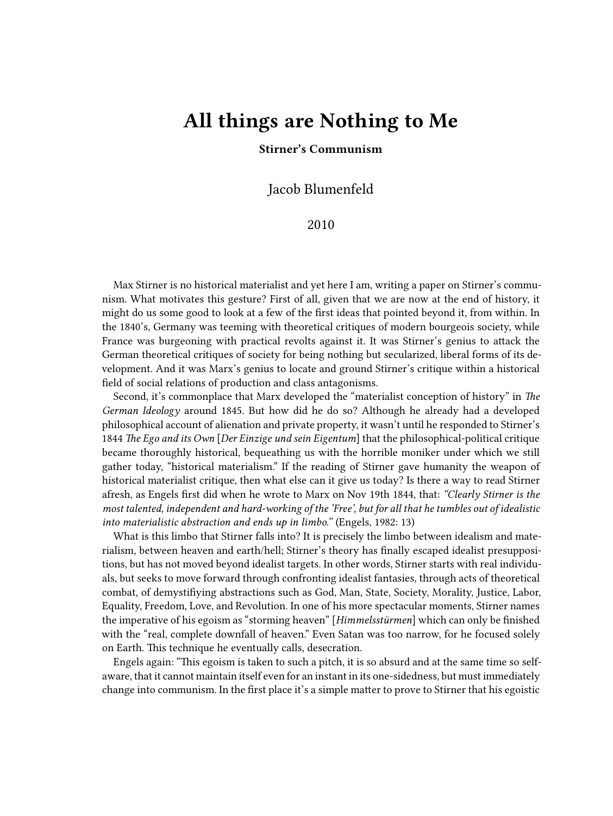## **All things are Nothing to Me**

## **Stirner's Communism**

Jacob Blumenfeld

## 2010

Max Stirner is no historical materialist and yet here I am, writing a paper on Stirner's communism. What motivates this gesture? First of all, given that we are now at the end of history, it might do us some good to look at a few of the first ideas that pointed beyond it, from within. In the 1840's, Germany was teeming with theoretical critiques of modern bourgeois society, while France was burgeoning with practical revolts against it. It was Stirner's genius to attack the German theoretical critiques of society for being nothing but secularized, liberal forms of its development. And it was Marx's genius to locate and ground Stirner's critique within a historical field of social relations of production and class antagonisms.

Second, it's commonplace that Marx developed the "materialist conception of history" in *The German Ideology* around 1845. But how did he do so? Although he already had a developed philosophical account of alienation and private property, it wasn't until he responded to Stirner's 1844 *The Ego and its Own* [*Der Einzige und sein Eigentum*] that the philosophical-political critique became thoroughly historical, bequeathing us with the horrible moniker under which we still gather today, "historical materialism." If the reading of Stirner gave humanity the weapon of historical materialist critique, then what else can it give us today? Is there a way to read Stirner afresh, as Engels first did when he wrote to Marx on Nov 19th 1844, that: *"Clearly Stirner is the most talented, independent and hard-working of the 'Free', but for all that he tumbles out of idealistic into materialistic abstraction and ends up in limbo."* (Engels, 1982: 13)

What is this limbo that Stirner falls into? It is precisely the limbo between idealism and materialism, between heaven and earth/hell; Stirner's theory has finally escaped idealist presuppositions, but has not moved beyond idealist targets. In other words, Stirner starts with real individuals, but seeks to move forward through confronting idealist fantasies, through acts of theoretical combat, of demystifiying abstractions such as God, Man, State, Society, Morality, Justice, Labor, Equality, Freedom, Love, and Revolution. In one of his more spectacular moments, Stirner names the imperative of his egoism as "storming heaven" [*Himmelsstürmen*] which can only be finished with the "real, complete downfall of heaven." Even Satan was too narrow, for he focused solely on Earth. This technique he eventually calls, desecration.

Engels again: "This egoism is taken to such a pitch, it is so absurd and at the same time so selfaware, that it cannot maintain itself even for an instant in its one-sidedness, but must immediately change into communism. In the first place it's a simple matter to prove to Stirner that his egoistic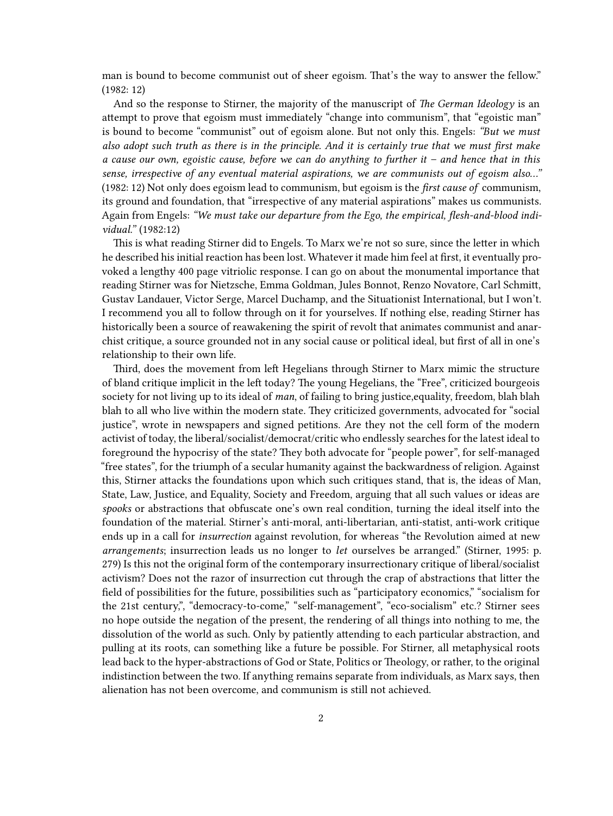man is bound to become communist out of sheer egoism. That's the way to answer the fellow." (1982: 12)

And so the response to Stirner, the majority of the manuscript of *The German Ideology* is an attempt to prove that egoism must immediately "change into communism", that "egoistic man" is bound to become "communist" out of egoism alone. But not only this. Engels: *"But we must also adopt such truth as there is in the principle. And it is certainly true that we must first make a cause our own, egoistic cause, before we can do anything to further it – and hence that in this sense, irrespective of any eventual material aspirations, we are communists out of egoism also…"* (1982: 12) Not only does egoism lead to communism, but egoism is the *first cause of* communism, its ground and foundation, that "irrespective of any material aspirations" makes us communists. Again from Engels: *"We must take our departure from the Ego, the empirical, flesh-and-blood individual."* (1982:12)

This is what reading Stirner did to Engels. To Marx we're not so sure, since the letter in which he described his initial reaction has been lost. Whatever it made him feel at first, it eventually provoked a lengthy 400 page vitriolic response. I can go on about the monumental importance that reading Stirner was for Nietzsche, Emma Goldman, Jules Bonnot, Renzo Novatore, Carl Schmitt, Gustav Landauer, Victor Serge, Marcel Duchamp, and the Situationist International, but I won't. I recommend you all to follow through on it for yourselves. If nothing else, reading Stirner has historically been a source of reawakening the spirit of revolt that animates communist and anarchist critique, a source grounded not in any social cause or political ideal, but first of all in one's relationship to their own life.

Third, does the movement from left Hegelians through Stirner to Marx mimic the structure of bland critique implicit in the left today? The young Hegelians, the "Free", criticized bourgeois society for not living up to its ideal of *man*, of failing to bring justice,equality, freedom, blah blah blah to all who live within the modern state. They criticized governments, advocated for "social justice", wrote in newspapers and signed petitions. Are they not the cell form of the modern activist of today, the liberal/socialist/democrat/critic who endlessly searches for the latest ideal to foreground the hypocrisy of the state? They both advocate for "people power", for self-managed "free states", for the triumph of a secular humanity against the backwardness of religion. Against this, Stirner attacks the foundations upon which such critiques stand, that is, the ideas of Man, State, Law, Justice, and Equality, Society and Freedom, arguing that all such values or ideas are *spooks* or abstractions that obfuscate one's own real condition, turning the ideal itself into the foundation of the material. Stirner's anti-moral, anti-libertarian, anti-statist, anti-work critique ends up in a call for *insurrection* against revolution, for whereas "the Revolution aimed at new *arrangements*; insurrection leads us no longer to *let* ourselves be arranged." (Stirner, 1995: p. 279) Is this not the original form of the contemporary insurrectionary critique of liberal/socialist activism? Does not the razor of insurrection cut through the crap of abstractions that litter the field of possibilities for the future, possibilities such as "participatory economics," "socialism for the 21st century,", "democracy-to-come," "self-management", "eco-socialism" etc.? Stirner sees no hope outside the negation of the present, the rendering of all things into nothing to me, the dissolution of the world as such. Only by patiently attending to each particular abstraction, and pulling at its roots, can something like a future be possible. For Stirner, all metaphysical roots lead back to the hyper-abstractions of God or State, Politics or Theology, or rather, to the original indistinction between the two. If anything remains separate from individuals, as Marx says, then alienation has not been overcome, and communism is still not achieved.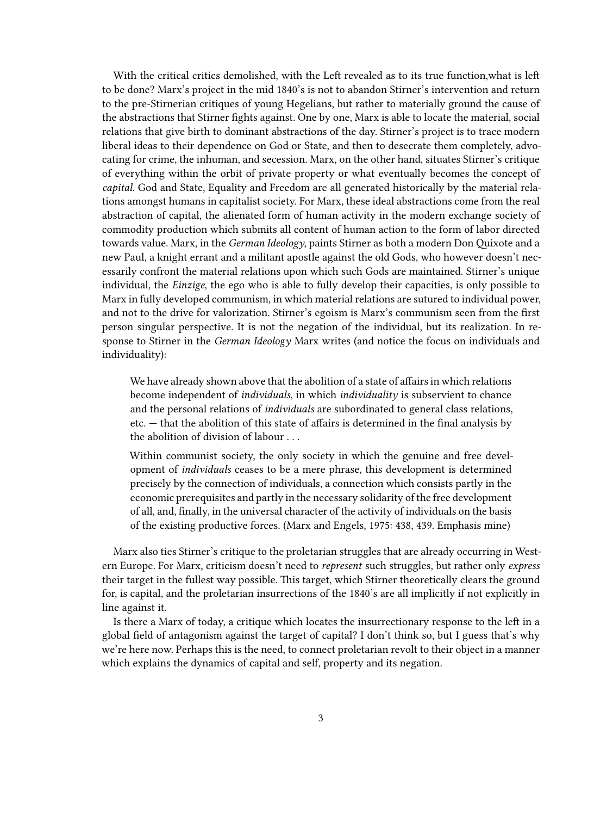With the critical critics demolished, with the Left revealed as to its true function,what is left to be done? Marx's project in the mid 1840's is not to abandon Stirner's intervention and return to the pre-Stirnerian critiques of young Hegelians, but rather to materially ground the cause of the abstractions that Stirner fights against. One by one, Marx is able to locate the material, social relations that give birth to dominant abstractions of the day. Stirner's project is to trace modern liberal ideas to their dependence on God or State, and then to desecrate them completely, advocating for crime, the inhuman, and secession. Marx, on the other hand, situates Stirner's critique of everything within the orbit of private property or what eventually becomes the concept of *capital*. God and State, Equality and Freedom are all generated historically by the material relations amongst humans in capitalist society. For Marx, these ideal abstractions come from the real abstraction of capital, the alienated form of human activity in the modern exchange society of commodity production which submits all content of human action to the form of labor directed towards value. Marx, in the *German Ideology*, paints Stirner as both a modern Don Quixote and a new Paul, a knight errant and a militant apostle against the old Gods, who however doesn't necessarily confront the material relations upon which such Gods are maintained. Stirner's unique individual, the *Einzige*, the ego who is able to fully develop their capacities, is only possible to Marx in fully developed communism, in which material relations are sutured to individual power, and not to the drive for valorization. Stirner's egoism is Marx's communism seen from the first person singular perspective. It is not the negation of the individual, but its realization. In response to Stirner in the *German Ideology* Marx writes (and notice the focus on individuals and individuality):

We have already shown above that the abolition of a state of affairs in which relations become independent of *individuals*, in which *individuality* is subservient to chance and the personal relations of *individuals* are subordinated to general class relations, etc. — that the abolition of this state of affairs is determined in the final analysis by the abolition of division of labour . . .

Within communist society, the only society in which the genuine and free development of *individuals* ceases to be a mere phrase, this development is determined precisely by the connection of individuals, a connection which consists partly in the economic prerequisites and partly in the necessary solidarity of the free development of all, and, finally, in the universal character of the activity of individuals on the basis of the existing productive forces. (Marx and Engels, 1975: 438, 439. Emphasis mine)

Marx also ties Stirner's critique to the proletarian struggles that are already occurring in Western Europe. For Marx, criticism doesn't need to *represent* such struggles, but rather only *express* their target in the fullest way possible. This target, which Stirner theoretically clears the ground for, is capital, and the proletarian insurrections of the 1840's are all implicitly if not explicitly in line against it.

Is there a Marx of today, a critique which locates the insurrectionary response to the left in a global field of antagonism against the target of capital? I don't think so, but I guess that's why we're here now. Perhaps this is the need, to connect proletarian revolt to their object in a manner which explains the dynamics of capital and self, property and its negation.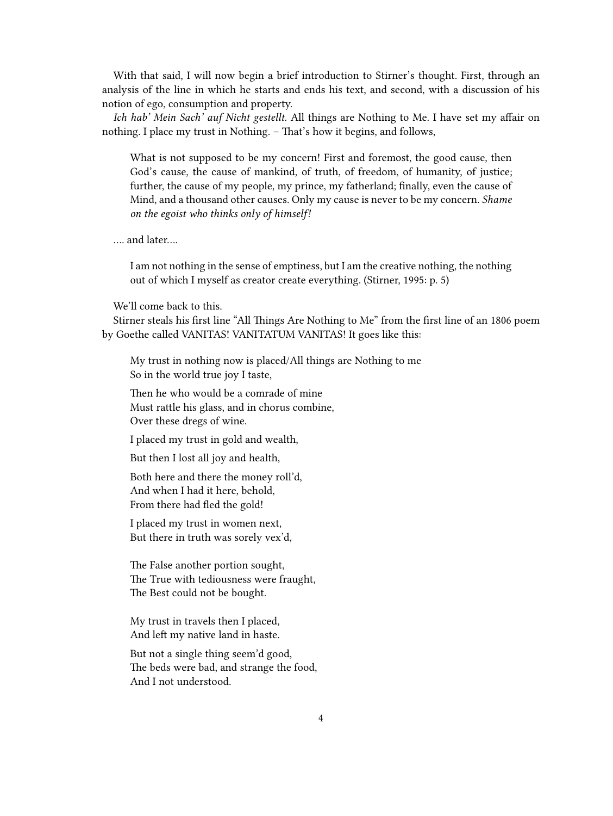With that said, I will now begin a brief introduction to Stirner's thought. First, through an analysis of the line in which he starts and ends his text, and second, with a discussion of his notion of ego, consumption and property.

*Ich hab' Mein Sach' auf Nicht gestellt*. All things are Nothing to Me. I have set my affair on nothing. I place my trust in Nothing. – That's how it begins, and follows,

What is not supposed to be my concern! First and foremost, the good cause, then God's cause, the cause of mankind, of truth, of freedom, of humanity, of justice; further, the cause of my people, my prince, my fatherland; finally, even the cause of Mind, and a thousand other causes. Only my cause is never to be my concern. *Shame on the egoist who thinks only of himself!*

…. and later….

I am not nothing in the sense of emptiness, but I am the creative nothing, the nothing out of which I myself as creator create everything. (Stirner, 1995: p. 5)

We'll come back to this.

Stirner steals his first line "All Things Are Nothing to Me" from the first line of an 1806 poem by Goethe called VANITAS! VANITATUM VANITAS! It goes like this:

My trust in nothing now is placed/All things are Nothing to me So in the world true joy I taste,

Then he who would be a comrade of mine Must rattle his glass, and in chorus combine, Over these dregs of wine.

I placed my trust in gold and wealth,

But then I lost all joy and health,

Both here and there the money roll'd, And when I had it here, behold, From there had fled the gold!

I placed my trust in women next, But there in truth was sorely vex'd,

The False another portion sought, The True with tediousness were fraught, The Best could not be bought.

My trust in travels then I placed, And left my native land in haste.

But not a single thing seem'd good, The beds were bad, and strange the food, And I not understood.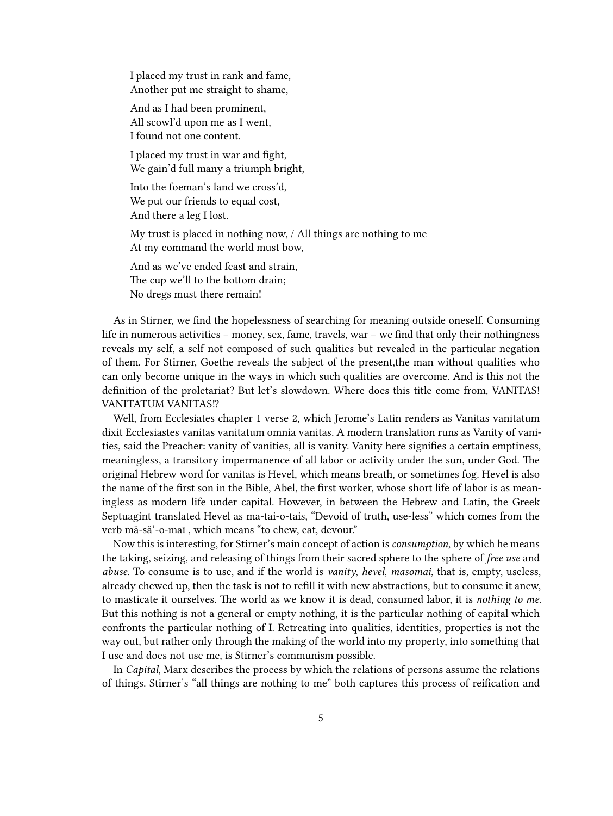I placed my trust in rank and fame, Another put me straight to shame,

And as I had been prominent, All scowl'd upon me as I went, I found not one content.

I placed my trust in war and fight, We gain'd full many a triumph bright,

Into the foeman's land we cross'd, We put our friends to equal cost, And there a leg I lost.

My trust is placed in nothing now, / All things are nothing to me At my command the world must bow,

And as we've ended feast and strain, The cup we'll to the bottom drain; No dregs must there remain!

As in Stirner, we find the hopelessness of searching for meaning outside oneself. Consuming life in numerous activities – money, sex, fame, travels, war – we find that only their nothingness reveals my self, a self not composed of such qualities but revealed in the particular negation of them. For Stirner, Goethe reveals the subject of the present,the man without qualities who can only become unique in the ways in which such qualities are overcome. And is this not the definition of the proletariat? But let's slowdown. Where does this title come from, VANITAS! VANITATUM VANITAS!?

Well, from Ecclesiates chapter 1 verse 2, which Jerome's Latin renders as Vanitas vanitatum dixit Ecclesiastes vanitas vanitatum omnia vanitas. A modern translation runs as Vanity of vanities, said the Preacher: vanity of vanities, all is vanity. Vanity here signifies a certain emptiness, meaningless, a transitory impermanence of all labor or activity under the sun, under God. The original Hebrew word for vanitas is Hevel, which means breath, or sometimes fog. Hevel is also the name of the first son in the Bible, Abel, the first worker, whose short life of labor is as meaningless as modern life under capital. However, in between the Hebrew and Latin, the Greek Septuagint translated Hevel as ma-tai-o-tais, "Devoid of truth, use-less" which comes from the verb mä-sä'-o-maī , which means "to chew, eat, devour."

Now this is interesting, for Stirner's main concept of action is *consumption*, by which he means the taking, seizing, and releasing of things from their sacred sphere to the sphere of *free use* and *abuse*. To consume is to use, and if the world is *vanity*, *hevel*, *masomai*, that is, empty, useless, already chewed up, then the task is not to refill it with new abstractions, but to consume it anew, to masticate it ourselves. The world as we know it is dead, consumed labor, it is *nothing to me*. But this nothing is not a general or empty nothing, it is the particular nothing of capital which confronts the particular nothing of I. Retreating into qualities, identities, properties is not the way out, but rather only through the making of the world into my property, into something that I use and does not use me, is Stirner's communism possible.

In *Capital*, Marx describes the process by which the relations of persons assume the relations of things. Stirner's "all things are nothing to me" both captures this process of reification and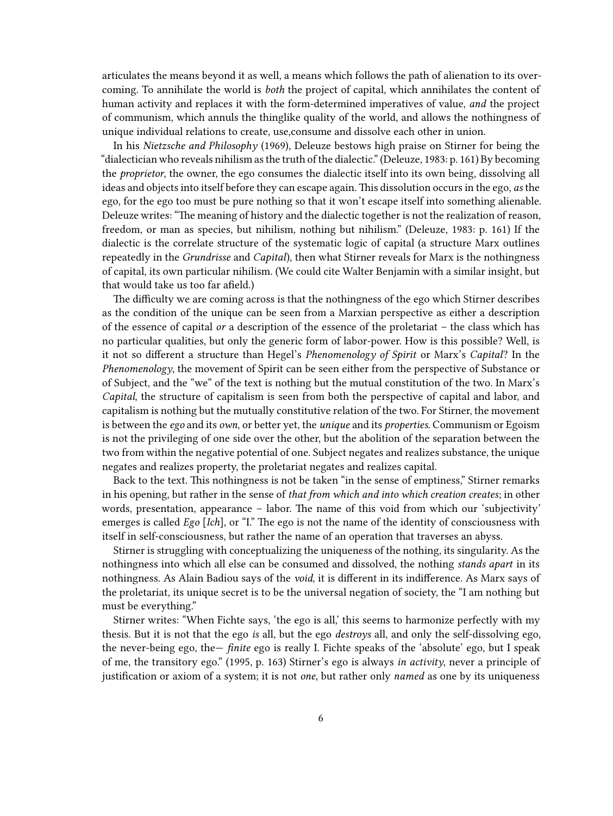articulates the means beyond it as well, a means which follows the path of alienation to its overcoming. To annihilate the world is *both* the project of capital, which annihilates the content of human activity and replaces it with the form-determined imperatives of value, *and* the project of communism, which annuls the thinglike quality of the world, and allows the nothingness of unique individual relations to create, use,consume and dissolve each other in union.

In his *Nietzsche and Philosophy* (1969), Deleuze bestows high praise on Stirner for being the "dialectician who reveals nihilism as the truth of the dialectic." (Deleuze, 1983: p. 161) By becoming the *proprietor*, the owner, the ego consumes the dialectic itself into its own being, dissolving all ideas and objects into itself before they can escape again. This dissolution occurs in the ego, *as* the ego, for the ego too must be pure nothing so that it won't escape itself into something alienable. Deleuze writes: "The meaning of history and the dialectic together is not the realization of reason, freedom, or man as species, but nihilism, nothing but nihilism." (Deleuze, 1983: p. 161) If the dialectic is the correlate structure of the systematic logic of capital (a structure Marx outlines repeatedly in the *Grundrisse* and *Capital*), then what Stirner reveals for Marx is the nothingness of capital, its own particular nihilism. (We could cite Walter Benjamin with a similar insight, but that would take us too far afield.)

The difficulty we are coming across is that the nothingness of the ego which Stirner describes as the condition of the unique can be seen from a Marxian perspective as either a description of the essence of capital *or* a description of the essence of the proletariat – the class which has no particular qualities, but only the generic form of labor-power. How is this possible? Well, is it not so different a structure than Hegel's *Phenomenology of Spirit* or Marx's *Capital*? In the *Phenomenology*, the movement of Spirit can be seen either from the perspective of Substance or of Subject, and the "we" of the text is nothing but the mutual constitution of the two. In Marx's *Capital*, the structure of capitalism is seen from both the perspective of capital and labor, and capitalism is nothing but the mutually constitutive relation of the two. For Stirner, the movement is between the *ego* and its *own*, or better yet, the *unique* and its *properties*. Communism or Egoism is not the privileging of one side over the other, but the abolition of the separation between the two from within the negative potential of one. Subject negates and realizes substance, the unique negates and realizes property, the proletariat negates and realizes capital.

Back to the text. This nothingness is not be taken "in the sense of emptiness," Stirner remarks in his opening, but rather in the sense of *that from which and into which creation creates*; in other words, presentation, appearance – labor. The name of this void from which our 'subjectivity' emerges is called *Ego* [*Ich*], or "I." The ego is not the name of the identity of consciousness with itself in self-consciousness, but rather the name of an operation that traverses an abyss.

Stirner is struggling with conceptualizing the uniqueness of the nothing, its singularity. As the nothingness into which all else can be consumed and dissolved, the nothing *stands apart* in its nothingness. As Alain Badiou says of the *void*, it is different in its indifference. As Marx says of the proletariat, its unique secret is to be the universal negation of society, the "I am nothing but must be everything."

Stirner writes: "When Fichte says, 'the ego is all,' this seems to harmonize perfectly with my thesis. But it is not that the ego *is* all, but the ego *destroys* all, and only the self-dissolving ego, the never-being ego, the— *finite* ego is really I. Fichte speaks of the 'absolute' ego, but I speak of me, the transitory ego." (1995, p. 163) Stirner's ego is always *in activity*, never a principle of justification or axiom of a system; it is not *one*, but rather only *named* as one by its uniqueness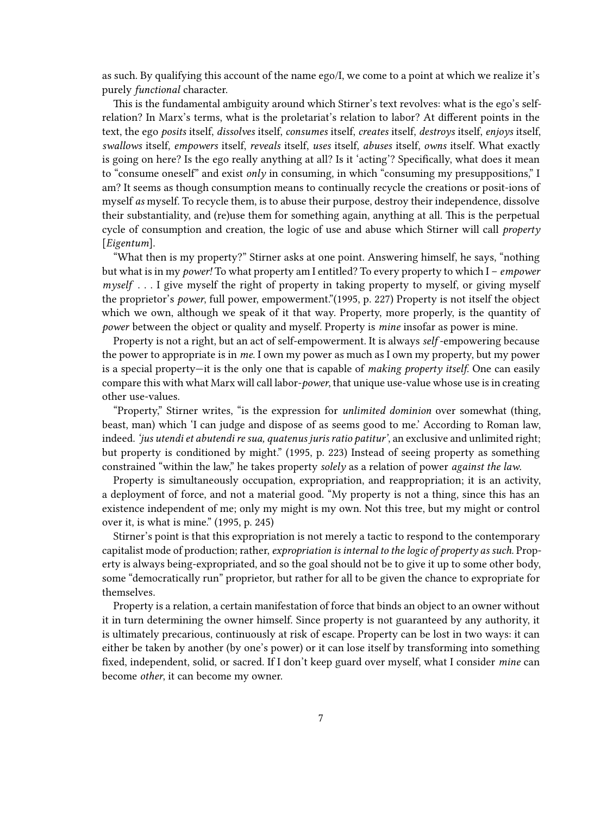as such. By qualifying this account of the name ego/I, we come to a point at which we realize it's purely *functional* character.

This is the fundamental ambiguity around which Stirner's text revolves: what is the ego's selfrelation? In Marx's terms, what is the proletariat's relation to labor? At different points in the text, the ego *posits* itself, *dissolves* itself, *consumes* itself, *creates* itself, *destroys* itself, *enjoys* itself, *swallows* itself, *empowers* itself, *reveals* itself, *uses* itself, *abuses* itself, *owns* itself. What exactly is going on here? Is the ego really anything at all? Is it 'acting'? Specifically, what does it mean to "consume oneself" and exist *only* in consuming, in which "consuming my presuppositions," I am? It seems as though consumption means to continually recycle the creations or posit-ions of myself *as* myself. To recycle them, is to abuse their purpose, destroy their independence, dissolve their substantiality, and (re)use them for something again, anything at all. This is the perpetual cycle of consumption and creation, the logic of use and abuse which Stirner will call *property* [*Eigentum*].

"What then is my property?" Stirner asks at one point. Answering himself, he says, "nothing but what is in my *power!* To what property am I entitled? To every property to which I – *empower myself* . . . I give myself the right of property in taking property to myself, or giving myself the proprietor's *power*, full power, empowerment."(1995, p. 227) Property is not itself the object which we own, although we speak of it that way. Property, more properly, is the quantity of *power* between the object or quality and myself. Property is *mine* insofar as power is mine.

Property is not a right, but an act of self-empowerment. It is always *self* -empowering because the power to appropriate is in *me*. I own my power as much as I own my property, but my power is a special property—it is the only one that is capable of *making property itself*. One can easily compare this with what Marx will call labor-*power*, that unique use-value whose use is in creating other use-values.

"Property," Stirner writes, "is the expression for *unlimited dominion* over somewhat (thing, beast, man) which 'I can judge and dispose of as seems good to me.' According to Roman law, indeed. *'jus utendi et abutendi re sua, quatenus juris ratio patitur'*, an exclusive and unlimited right; but property is conditioned by might." (1995, p. 223) Instead of seeing property as something constrained "within the law," he takes property *solely* as a relation of power *against the law*.

Property is simultaneously occupation, expropriation, and reappropriation; it is an activity, a deployment of force, and not a material good. "My property is not a thing, since this has an existence independent of me; only my might is my own. Not this tree, but my might or control over it, is what is mine." (1995, p. 245)

Stirner's point is that this expropriation is not merely a tactic to respond to the contemporary capitalist mode of production; rather, *expropriation is internal to the logic of property as such*. Property is always being-expropriated, and so the goal should not be to give it up to some other body, some "democratically run" proprietor, but rather for all to be given the chance to expropriate for themselves.

Property is a relation, a certain manifestation of force that binds an object to an owner without it in turn determining the owner himself. Since property is not guaranteed by any authority, it is ultimately precarious, continuously at risk of escape. Property can be lost in two ways: it can either be taken by another (by one's power) or it can lose itself by transforming into something fixed, independent, solid, or sacred. If I don't keep guard over myself, what I consider *mine* can become *other*, it can become my owner.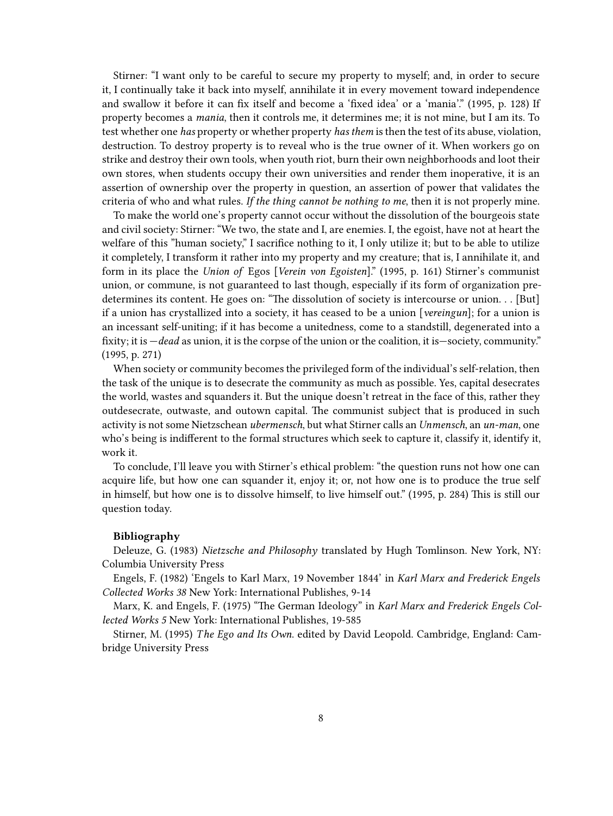Stirner: "I want only to be careful to secure my property to myself; and, in order to secure it, I continually take it back into myself, annihilate it in every movement toward independence and swallow it before it can fix itself and become a 'fixed idea' or a 'mania'." (1995, p. 128) If property becomes a *mania*, then it controls me, it determines me; it is not mine, but I am its. To test whether one *has* property or whether property *has them* is then the test of its abuse, violation, destruction. To destroy property is to reveal who is the true owner of it. When workers go on strike and destroy their own tools, when youth riot, burn their own neighborhoods and loot their own stores, when students occupy their own universities and render them inoperative, it is an assertion of ownership over the property in question, an assertion of power that validates the criteria of who and what rules. *If the thing cannot be nothing to me*, then it is not properly mine.

To make the world one's property cannot occur without the dissolution of the bourgeois state and civil society: Stirner: "We two, the state and I, are enemies. I, the egoist, have not at heart the welfare of this "human society," I sacrifice nothing to it, I only utilize it; but to be able to utilize it completely, I transform it rather into my property and my creature; that is, I annihilate it, and form in its place the *Union of* Egos [*Verein von Egoisten*]." (1995, p. 161) Stirner's communist union, or commune, is not guaranteed to last though, especially if its form of organization predetermines its content. He goes on: "The dissolution of society is intercourse or union. . . [But] if a union has crystallized into a society, it has ceased to be a union [*vereingun*]; for a union is an incessant self-uniting; if it has become a unitedness, come to a standstill, degenerated into a fixity; it is —*dead* as union, it is the corpse of the union or the coalition, it is—society, community." (1995, p. 271)

When society or community becomes the privileged form of the individual's self-relation, then the task of the unique is to desecrate the community as much as possible. Yes, capital desecrates the world, wastes and squanders it. But the unique doesn't retreat in the face of this, rather they outdesecrate, outwaste, and outown capital. The communist subject that is produced in such activity is not some Nietzschean *ubermensch*, but what Stirner calls an *Unmensch*, an *un-man*, one who's being is indifferent to the formal structures which seek to capture it, classify it, identify it, work it.

To conclude, I'll leave you with Stirner's ethical problem: "the question runs not how one can acquire life, but how one can squander it, enjoy it; or, not how one is to produce the true self in himself, but how one is to dissolve himself, to live himself out." (1995, p. 284) This is still our question today.

## **Bibliography**

Deleuze, G. (1983) *Nietzsche and Philosophy* translated by Hugh Tomlinson. New York, NY: Columbia University Press

Engels, F. (1982) 'Engels to Karl Marx, 19 November 1844' in *Karl Marx and Frederick Engels Collected Works 38* New York: International Publishes, 9-14

Marx, K. and Engels, F. (1975) "The German Ideology" in *Karl Marx and Frederick Engels Collected Works 5* New York: International Publishes, 19-585

Stirner, M. (1995) *T he Ego and Its Own*. edited by David Leopold. Cambridge, England: Cambridge University Press